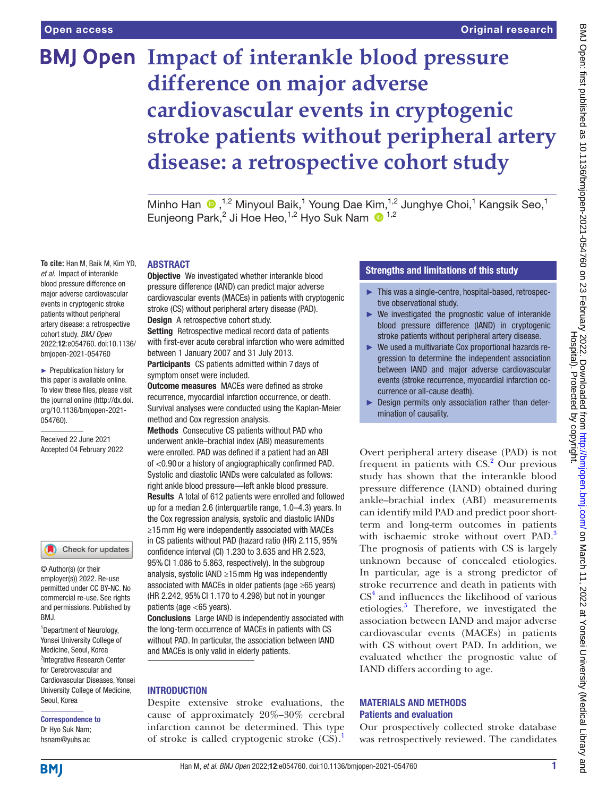# **BMJ Open Impact of interankle blood pressure difference on major adverse cardiovascular events in cryptogenic stroke patients without peripheral artery disease: a retrospective cohort study**

Minho Han  $\bullet$ , <sup>1,2</sup> Minyoul Baik,<sup>1</sup> Young Dae Kim, <sup>1,2</sup> Junghye Choi,<sup>1</sup> Kangsik Seo,<sup>1</sup> Eunjeong Park,<sup>2</sup> Ji Hoe Heo,<sup>1,2</sup> Hyo Suk Nam <sup>1,2</sup>

# ABSTRACT

**To cite:** Han M, Baik M, Kim YD, *et al*. Impact of interankle blood pressure difference on major adverse cardiovascular events in cryptogenic stroke patients without peripheral artery disease: a retrospective cohort study. *BMJ Open* 2022;12:e054760. doi:10.1136/ bmjopen-2021-054760

► Prepublication history for this paper is available online. To view these files, please visit the journal online [\(http://dx.doi.](http://dx.doi.org/10.1136/bmjopen-2021-054760) [org/10.1136/bmjopen-2021-](http://dx.doi.org/10.1136/bmjopen-2021-054760) [054760\)](http://dx.doi.org/10.1136/bmjopen-2021-054760).

Received 22 June 2021 Accepted 04 February 2022

#### Check for updates

© Author(s) (or their employer(s)) 2022. Re-use permitted under CC BY-NC. No commercial re-use. See rights and permissions. Published by BMJ.

<sup>1</sup> Department of Neurology, Yonsei University College of Medicine, Seoul, Korea <sup>2</sup>Integrative Research Center for Cerebrovascular and Cardiovascular Diseases, Yonsei University College of Medicine, Seoul, Korea

#### Correspondence to Dr Hyo Suk Nam; hsnam@yuhs.ac

**Objective** We investigated whether interankle blood pressure difference (IAND) can predict major adverse cardiovascular events (MACEs) in patients with cryptogenic stroke (CS) without peripheral artery disease (PAD). Design A retrospective cohort study. Setting Retrospective medical record data of patients

with first-ever acute cerebral infarction who were admitted between 1 January 2007 and 31 July 2013. Participants CS patients admitted within 7 days of

symptom onset were included.

Outcome measures MACEs were defined as stroke recurrence, myocardial infarction occurrence, or death. Survival analyses were conducted using the Kaplan-Meier method and Cox regression analysis.

Methods Consecutive CS patients without PAD who underwent ankle–brachial index (ABI) measurements were enrolled. PAD was defined if a patient had an ABI of <0.90 or a history of angiographically confirmed PAD. Systolic and diastolic IANDs were calculated as follows: right ankle blood pressure—left ankle blood pressure. Results A total of 612 patients were enrolled and followed up for a median 2.6 (interquartile range, 1.0–4.3) years. In the Cox regression analysis, systolic and diastolic IANDs ≥15mm Hg were independently associated with MACEs in CS patients without PAD (hazard ratio (HR) 2.115, 95% confidence interval (CI) 1.230 to 3.635 and HR 2.523, 95%CI 1.086 to 5.863, respectively). In the subgroup analysis, systolic IAND ≥15mm Hg was independently associated with MACEs in older patients (age ≥65 years) (HR 2.242, 95%CI 1.170 to 4.298) but not in younger patients (age <65 years).

Conclusions Large IAND is independently associated with the long-term occurrence of MACEs in patients with CS without PAD. In particular, the association between IAND and MACEs is only valid in elderly patients.

# **INTRODUCTION**

Despite extensive stroke evaluations, the cause of approximately 20%–30% cerebral infarction cannot be determined. This type of stroke is called cryptogenic stroke  $(CS)$ .<sup>[1](#page-5-0)</sup>

# Strengths and limitations of this study

- ► This was a single-centre, hospital-based, retrospective observational study.
- $\blacktriangleright$  We investigated the prognostic value of interankle blood pressure difference (IAND) in cryptogenic stroke patients without peripheral artery disease.
- ► We used a multivariate Cox proportional hazards regression to determine the independent association between IAND and major adverse cardiovascular events (stroke recurrence, myocardial infarction occurrence or all-cause death).
- ► Design permits only association rather than determination of causality.

Overt peripheral artery disease (PAD) is not frequent in patients with CS.<sup>2</sup> Our previous study has shown that the interankle blood pressure difference (IAND) obtained during ankle–brachial index (ABI) measurements can identify mild PAD and predict poor shortterm and long-term outcomes in patients with ischaemic stroke without overt PAD.<sup>[3](#page-5-2)</sup> The prognosis of patients with CS is largely unknown because of concealed etiologies. In particular, age is a strong predictor of stroke recurrence and death in patients with CS<sup>[4](#page-5-3)</sup> and influences the likelihood of various etiologies.<sup>[5](#page-5-4)</sup> Therefore, we investigated the association between IAND and major adverse cardiovascular events (MACEs) in patients with CS without overt PAD. In addition, we evaluated whether the prognostic value of IAND differs according to age.

## MATERIALS AND METHODS Patients and evaluation

Our prospectively collected stroke database was retrospectively reviewed. The candidates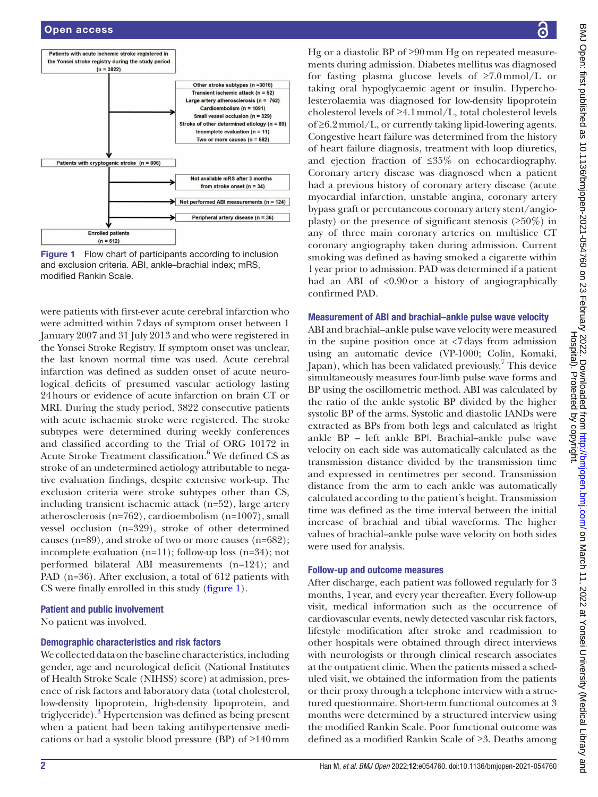

<span id="page-1-0"></span>

were patients with first-ever acute cerebral infarction who were admitted within 7days of symptom onset between 1 January 2007 and 31 July 2013 and who were registered in the Yonsei Stroke Registry. If symptom onset was unclear, the last known normal time was used. Acute cerebral infarction was defined as sudden onset of acute neurological deficits of presumed vascular aetiology lasting 24hours or evidence of acute infarction on brain CT or MRI. During the study period, 3822 consecutive patients with acute ischaemic stroke were registered. The stroke subtypes were determined during weekly conferences and classified according to the Trial of ORG 10172 in Acute Stroke Treatment classification.<sup>[6](#page-5-5)</sup> We defined CS as stroke of an undetermined aetiology attributable to negative evaluation findings, despite extensive work-up. The exclusion criteria were stroke subtypes other than CS, including transient ischaemic attack (n=52), large artery atherosclerosis (n=762), cardioembolism (n=1007), small vessel occlusion (n=329), stroke of other determined causes (n=89), and stroke of two or more causes (n=682); incomplete evaluation (n=11); follow-up loss (n=34); not performed bilateral ABI measurements (n=124); and PAD (n=36). After exclusion, a total of 612 patients with CS were finally enrolled in this study [\(figure](#page-1-0) 1).

## Patient and public involvement

No patient was involved.

## Demographic characteristics and risk factors

We collected data on the baseline characteristics, including gender, age and neurological deficit (National Institutes of Health Stroke Scale (NIHSS) score) at admission, presence of risk factors and laboratory data (total cholesterol, low-density lipoprotein, high-density lipoprotein, and triglyceride).<sup>[3](#page-5-2)</sup> Hypertension was defined as being present when a patient had been taking antihypertensive medications or had a systolic blood pressure (BP) of ≥140mm

Hg or a diastolic BP of ≥90mm Hg on repeated measurements during admission. Diabetes mellitus was diagnosed for fasting plasma glucose levels of  $\geq 7.0 \text{mmol/L}$  or taking oral hypoglycaemic agent or insulin. Hypercholesterolaemia was diagnosed for low-density lipoprotein cholesterol levels of ≥4.1mmol/L, total cholesterol levels of ≥6.2mmol/L, or currently taking lipid-lowering agents. Congestive heart failure was determined from the history of heart failure diagnosis, treatment with loop diuretics, and ejection fraction of ≤35% on echocardiography. Coronary artery disease was diagnosed when a patient had a previous history of coronary artery disease (acute myocardial infarction, unstable angina, coronary artery bypass graft or percutaneous coronary artery stent/angioplasty) or the presence of significant stenosis  $(\geq 50\%)$  in any of three main coronary arteries on multislice CT coronary angiography taken during admission. Current smoking was defined as having smoked a cigarette within 1year prior to admission. PAD was determined if a patient had an ABI of <0.90 or a history of angiographically confirmed PAD.

#### Measurement of ABI and brachial–ankle pulse wave velocity

ABI and brachial–ankle pulse wave velocity were measured in the supine position once at  $\langle 7 \rangle$  days from admission using an automatic device (VP-1000; Colin, Komaki, Japan), which has been validated previously.<sup>[7](#page-5-6)</sup> This device simultaneously measures four-limb pulse wave forms and BP using the oscillometric method. ABI was calculated by the ratio of the ankle systolic BP divided by the higher systolic BP of the arms. Systolic and diastolic IANDs were extracted as BPs from both legs and calculated as lright ankle BP – left ankle BP|. Brachial–ankle pulse wave velocity on each side was automatically calculated as the transmission distance divided by the transmission time and expressed in centimetres per second. Transmission distance from the arm to each ankle was automatically calculated according to the patient's height. Transmission time was defined as the time interval between the initial increase of brachial and tibial waveforms. The higher values of brachial–ankle pulse wave velocity on both sides were used for analysis.

#### Follow-up and outcome measures

After discharge, each patient was followed regularly for 3 months, 1year, and every year thereafter. Every follow-up visit, medical information such as the occurrence of cardiovascular events, newly detected vascular risk factors, lifestyle modification after stroke and readmission to other hospitals were obtained through direct interviews with neurologists or through clinical research associates at the outpatient clinic. When the patients missed a scheduled visit, we obtained the information from the patients or their proxy through a telephone interview with a structured questionnaire. Short-term functional outcomes at 3 months were determined by a structured interview using the modified Rankin Scale. Poor functional outcome was defined as a modified Rankin Scale of ≥3. Deaths among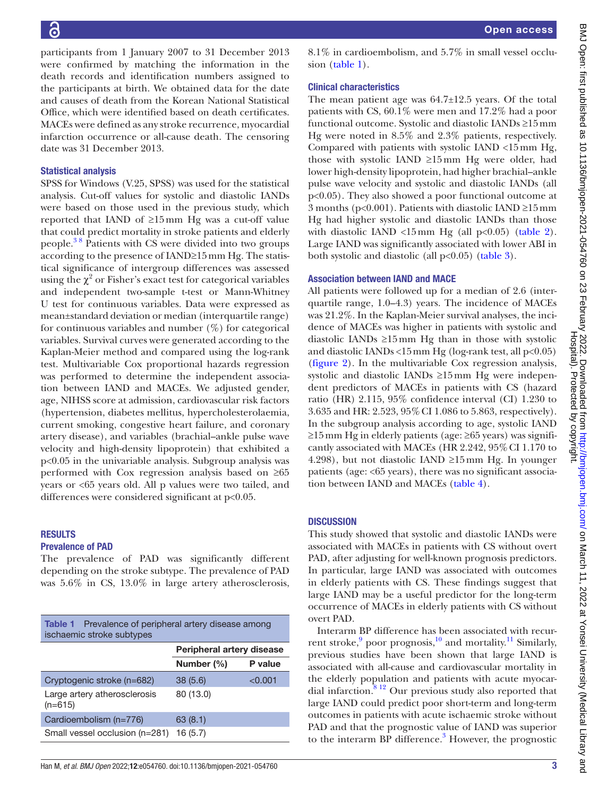participants from 1 January 2007 to 31 December 2013 were confirmed by matching the information in the death records and identification numbers assigned to the participants at birth. We obtained data for the date and causes of death from the Korean National Statistical Office, which were identified based on death certificates. MACEs were defined as any stroke recurrence, myocardial infarction occurrence or all-cause death. The censoring date was 31 December 2013.

## Statistical analysis

SPSS for Windows (V.25, SPSS) was used for the statistical analysis. Cut-off values for systolic and diastolic IANDs were based on those used in the previous study, which reported that IAND of ≥15mm Hg was a cut-off value that could predict mortality in stroke patients and elderly people[.3 8](#page-5-2) Patients with CS were divided into two groups according to the presence of IAND≥15mm Hg. The statistical significance of intergroup differences was assessed using the  $\chi^2$  or Fisher's exact test for categorical variables and independent two-sample t-test or Mann-Whitney U test for continuous variables. Data were expressed as mean±standard deviation or median (interquartile range) for continuous variables and number  $(\%)$  for categorical variables. Survival curves were generated according to the Kaplan-Meier method and compared using the log-rank test. Multivariable Cox proportional hazards regression was performed to determine the independent association between IAND and MACEs. We adjusted gender, age, NIHSS score at admission, cardiovascular risk factors (hypertension, diabetes mellitus, hypercholesterolaemia, current smoking, congestive heart failure, and coronary artery disease), and variables (brachial–ankle pulse wave velocity and high-density lipoprotein) that exhibited a p<0.05 in the univariable analysis. Subgroup analysis was performed with Cox regression analysis based on ≥65 years or <65 years old. All p values were two tailed, and differences were considered significant at p<0.05.

### RESULTS Prevalence of PAD

The prevalence of PAD was significantly different depending on the stroke subtype. The prevalence of PAD was 5.6% in CS, 13.0% in large artery atherosclerosis,

<span id="page-2-0"></span>

| Prevalence of peripheral artery disease among<br>Table 1<br>ischaemic stroke subtypes |                           |         |  |  |
|---------------------------------------------------------------------------------------|---------------------------|---------|--|--|
|                                                                                       | Peripheral artery disease |         |  |  |
|                                                                                       | Number (%)                | P value |  |  |
| Cryptogenic stroke (n=682)                                                            | 38(5.6)                   | < 0.001 |  |  |
| Large artery atherosclerosis<br>$(n=615)$                                             | 80 (13.0)                 |         |  |  |
| Cardioembolism (n=776)                                                                | 63(8.1)                   |         |  |  |
| Small vessel occlusion (n=281)                                                        | 16(5.7)                   |         |  |  |

8.1% in cardioembolism, and 5.7% in small vessel occlusion ([table](#page-2-0) 1).

## Clinical characteristics

The mean patient age was 64.7±12.5 years. Of the total patients with CS, 60.1% were men and 17.2% had a poor functional outcome. Systolic and diastolic IANDs ≥15mm Hg were noted in 8.5% and 2.3% patients, respectively. Compared with patients with systolic IAND <15mm Hg, those with systolic IAND ≥15mm Hg were older, had lower high-density lipoprotein, had higher brachial–ankle pulse wave velocity and systolic and diastolic IANDs (all p<0.05). They also showed a poor functional outcome at 3 months (p<0.001). Patients with diastolic IAND ≥15mm Hg had higher systolic and diastolic IANDs than those with diastolic IAND <15mm Hg (all  $p<0.05$ ) ([table](#page-3-0) 2). Large IAND was significantly associated with lower ABI in both systolic and diastolic (all  $p<0.05$ ) ([table](#page-3-1) 3).

## Association between IAND and MACE

All patients were followed up for a median of 2.6 (interquartile range, 1.0–4.3) years. The incidence of MACEs was 21.2%. In the Kaplan-Meier survival analyses, the incidence of MACEs was higher in patients with systolic and diastolic IANDs ≥15mm Hg than in those with systolic and diastolic IANDs <15mm Hg (log-rank test, all p<0.05) [\(figure](#page-3-2) 2). In the multivariable Cox regression analysis, systolic and diastolic IANDs ≥15mm Hg were independent predictors of MACEs in patients with CS (hazard ratio (HR) 2.115, 95% confidence interval (CI) 1.230 to 3.635 and HR: 2.523, 95%CI 1.086 to 5.863, respectively). In the subgroup analysis according to age, systolic IAND ≥15mm Hg in elderly patients (age: ≥65 years) was significantly associated with MACEs (HR 2.242, 95%CI 1.170 to 4.298), but not diastolic IAND  $\geq 15$  mm Hg. In younger patients (age: <65 years), there was no significant association between IAND and MACEs ([table](#page-4-0) 4).

# **DISCUSSION**

This study showed that systolic and diastolic IANDs were associated with MACEs in patients with CS without overt PAD, after adjusting for well-known prognosis predictors. In particular, large IAND was associated with outcomes in elderly patients with CS. These findings suggest that large IAND may be a useful predictor for the long-term occurrence of MACEs in elderly patients with CS without overt PAD.

Interarm BP difference has been associated with recurrent stroke, poor prognosis,  $^{10}$  $^{10}$  $^{10}$  and mortality.<sup>11</sup> Similarly, previous studies have been shown that large IAND is associated with all-cause and cardiovascular mortality in the elderly population and patients with acute myocardial infarction. $812$  Our previous study also reported that large IAND could predict poor short-term and long-term outcomes in patients with acute ischaemic stroke without PAD and that the prognostic value of IAND was superior to the interarm BP difference.<sup>[3](#page-5-2)</sup> However, the prognostic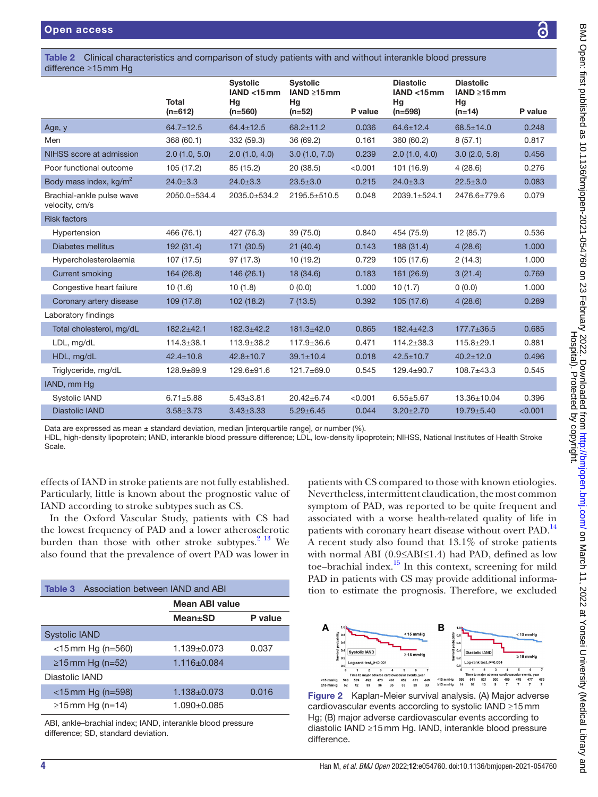<span id="page-3-0"></span>

| Table 2 Clinical characteristics and comparison of study patients with and without interankle blood pressure<br>difference $\geq 15$ mm Hq |                           |                                                   |                                                        |         |                                                       |                                                         |         |
|--------------------------------------------------------------------------------------------------------------------------------------------|---------------------------|---------------------------------------------------|--------------------------------------------------------|---------|-------------------------------------------------------|---------------------------------------------------------|---------|
|                                                                                                                                            | <b>Total</b><br>$(n=612)$ | <b>Systolic</b><br>IAND < 15mm<br>Hg<br>$(n=560)$ | <b>Systolic</b><br>IAND $\geq 15$ mm<br>Hg<br>$(n=52)$ | P value | <b>Diastolic</b><br>$IAND < 15$ mm<br>Hg<br>$(n=598)$ | <b>Diastolic</b><br>IAND $\geq 15$ mm<br>Hg<br>$(n=14)$ | P value |
| Age, y                                                                                                                                     | $64.7 \pm 12.5$           | $64.4 \pm 12.5$                                   | $68.2 \pm 11.2$                                        | 0.036   | $64.6 \pm 12.4$                                       | $68.5 \pm 14.0$                                         | 0.248   |
| Men                                                                                                                                        | 368 (60.1)                | 332 (59.3)                                        | 36 (69.2)                                              | 0.161   | 360 (60.2)                                            | 8(57.1)                                                 | 0.817   |
| NIHSS score at admission                                                                                                                   | 2.0(1.0, 5.0)             | 2.0(1.0, 4.0)                                     | 3.0(1.0, 7.0)                                          | 0.239   | 2.0(1.0, 4.0)                                         | 3.0(2.0, 5.8)                                           | 0.456   |
| Poor functional outcome                                                                                                                    | 105 (17.2)                | 85 (15.2)                                         | 20 (38.5)                                              | < 0.001 | 101 (16.9)                                            | 4(28.6)                                                 | 0.276   |
| Body mass index, kg/m <sup>2</sup>                                                                                                         | $24.0 + 3.3$              | $24.0 + 3.3$                                      | $23.5 + 3.0$                                           | 0.215   | $24.0 \pm 3.3$                                        | $22.5 + 3.0$                                            | 0.083   |
| Brachial-ankle pulse wave<br>velocity, cm/s                                                                                                | 2050.0±534.4              | 2035.0±534.2                                      | 2195.5±510.5                                           | 0.048   | 2039.1±524.1                                          | 2476.6±779.6                                            | 0.079   |
| <b>Risk factors</b>                                                                                                                        |                           |                                                   |                                                        |         |                                                       |                                                         |         |
| Hypertension                                                                                                                               | 466 (76.1)                | 427 (76.3)                                        | 39 (75.0)                                              | 0.840   | 454 (75.9)                                            | 12(85.7)                                                | 0.536   |
| <b>Diabetes mellitus</b>                                                                                                                   | 192 (31.4)                | 171 (30.5)                                        | 21(40.4)                                               | 0.143   | 188 (31.4)                                            | 4(28.6)                                                 | 1.000   |
| Hypercholesterolaemia                                                                                                                      | 107 (17.5)                | 97 (17.3)                                         | 10(19.2)                                               | 0.729   | 105 (17.6)                                            | 2(14.3)                                                 | 1.000   |
| <b>Current smoking</b>                                                                                                                     | 164 (26.8)                | 146 (26.1)                                        | 18 (34.6)                                              | 0.183   | 161 (26.9)                                            | 3(21.4)                                                 | 0.769   |
| Congestive heart failure                                                                                                                   | 10(1.6)                   | 10(1.8)                                           | 0(0.0)                                                 | 1.000   | 10(1.7)                                               | (0.0)                                                   | 1.000   |
| Coronary artery disease                                                                                                                    | 109 (17.8)                | 102 (18.2)                                        | 7(13.5)                                                | 0.392   | 105(17.6)                                             | 4(28.6)                                                 | 0.289   |
| Laboratory findings                                                                                                                        |                           |                                                   |                                                        |         |                                                       |                                                         |         |
| Total cholesterol, mg/dL                                                                                                                   | $182.2 + 42.1$            | $182.3 \pm 42.2$                                  | 181.3±42.0                                             | 0.865   | $182.4 \pm 42.3$                                      | $177.7 \pm 36.5$                                        | 0.685   |
| LDL, mg/dL                                                                                                                                 | $114.3 \pm 38.1$          | $113.9 \pm 38.2$                                  | $117.9 \pm 36.6$                                       | 0.471   | $114.2 \pm 38.3$                                      | $115.8 + 29.1$                                          | 0.881   |
| HDL, mg/dL                                                                                                                                 | $42.4 \pm 10.8$           | $42.8 \pm 10.7$                                   | $39.1 \pm 10.4$                                        | 0.018   | $42.5 \pm 10.7$                                       | $40.2 \pm 12.0$                                         | 0.496   |
| Triglyceride, mg/dL                                                                                                                        | $128.9 + 89.9$            | 129.6±91.6                                        | 121.7±69.0                                             | 0.545   | $129.4 \pm 90.7$                                      | 108.7±43.3                                              | 0.545   |
| IAND, mm Hg                                                                                                                                |                           |                                                   |                                                        |         |                                                       |                                                         |         |
| Systolic IAND                                                                                                                              | $6.71 \pm 5.88$           | $5.43 \pm 3.81$                                   | $20.42 \pm 6.74$                                       | < 0.001 | $6.55 \pm 5.67$                                       | 13.36±10.04                                             | 0.396   |
| <b>Diastolic IAND</b>                                                                                                                      | $3.58 \pm 3.73$           | $3.43 \pm 3.33$                                   | $5.29 \pm 6.45$                                        | 0.044   | $3.20 \pm 2.70$                                       | 19.79±5.40                                              | < 0.001 |
| Deta are avarageed as mean $\mu$ standard doviation modian linteraughtle repeal or pumber $(0/1)$                                          |                           |                                                   |                                                        |         |                                                       |                                                         |         |

Data are expressed as mean  $\pm$  standard deviation, median [interquartile range], or number (%).

HDL, high-density lipoprotein; IAND, interankle blood pressure difference; LDL, low-density lipoprotein; NIHSS, National Institutes of Health Stroke Scale.

effects of IAND in stroke patients are not fully established. Particularly, little is known about the prognostic value of IAND according to stroke subtypes such as CS.

In the Oxford Vascular Study, patients with CS had the lowest frequency of PAD and a lower atherosclerotic burden than those with other stroke subtypes. $2^{13}$  We also found that the prevalence of overt PAD was lower in

<span id="page-3-1"></span>

| Association between IAND and ABI<br>Table 3 |                   |         |  |  |
|---------------------------------------------|-------------------|---------|--|--|
|                                             | Mean ABI value    |         |  |  |
|                                             | <b>Mean</b> ±SD   | P value |  |  |
| Systolic IAND                               |                   |         |  |  |
| $<$ 15 mm Hg (n=560)                        | $1.139 + 0.073$   | 0.037   |  |  |
| ≥15 mm Hg (n=52)                            | $1.116 \pm 0.084$ |         |  |  |
| Diastolic IAND                              |                   |         |  |  |
| $<$ 15 mm Hg (n=598)                        | $1.138 + 0.073$   | 0.016   |  |  |
| $≥15$ mm Hg (n=14)                          | $1.090 + 0.085$   |         |  |  |
|                                             |                   |         |  |  |

ABI, ankle–brachial index; IAND, interankle blood pressure difference; SD, standard deviation.

patients with CS compared to those with known etiologies. Nevertheless, intermittent claudication, the most common symptom of PAD, was reported to be quite frequent and associated with a worse health-related quality of life in patients with coronary heart disease without overt PAD.<sup>[14](#page-5-11)</sup> A recent study also found that 13.1% of stroke patients with normal ABI (0.9≤ABI≤1.4) had PAD, defined as low toe–brachial index. $15$  In this context, screening for mild PAD in patients with CS may provide additional information to estimate the prognosis. Therefore, we excluded



<span id="page-3-2"></span>Figure 2 Kaplan-Meier survival analysis. (A) Major adverse cardiovascular events according to systolic IAND ≥15mm Hg; (B) major adverse cardiovascular events according to diastolic IAND ≥15mm Hg. IAND, interankle blood pressure difference.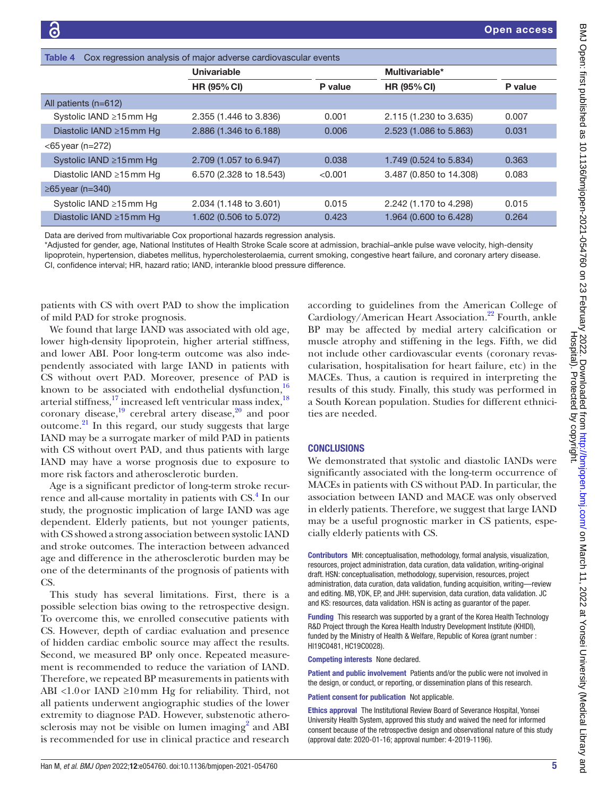<span id="page-4-0"></span>

| Cox regression analysis of major adverse cardiovascular events<br>Table 4 |                         |         |                         |         |  |  |
|---------------------------------------------------------------------------|-------------------------|---------|-------------------------|---------|--|--|
|                                                                           | Univariable             |         | Multivariable*          |         |  |  |
|                                                                           | <b>HR (95% CI)</b>      | P value | <b>HR (95% CI)</b>      | P value |  |  |
| All patients (n=612)                                                      |                         |         |                         |         |  |  |
| Systolic IAND ≥15 mm Hg                                                   | 2.355 (1.446 to 3.836)  | 0.001   | 2.115 (1.230 to 3.635)  | 0.007   |  |  |
| Diastolic IAND ≥15mm Hg                                                   | 2.886 (1.346 to 6.188)  | 0.006   | 2.523 (1.086 to 5.863)  | 0.031   |  |  |
| $<$ 65 year (n=272)                                                       |                         |         |                         |         |  |  |
| Systolic IAND ≥15mm Hg                                                    | 2.709 (1.057 to 6.947)  | 0.038   | 1.749 (0.524 to 5.834)  | 0.363   |  |  |
| Diastolic IAND ≥15mm Hg                                                   | 6.570 (2.328 to 18.543) | < 0.001 | 3.487 (0.850 to 14.308) | 0.083   |  |  |
| $\geq$ 65 year (n=340)                                                    |                         |         |                         |         |  |  |
| Systolic IAND ≥15mm Hg                                                    | 2.034 (1.148 to 3.601)  | 0.015   | 2.242 (1.170 to 4.298)  | 0.015   |  |  |
| Diastolic IAND $\geq$ 15 mm Hg                                            | 1.602 (0.506 to 5.072)  | 0.423   | 1.964 (0.600 to 6.428)  | 0.264   |  |  |

Data are derived from multivariable Cox proportional hazards regression analysis.

\*Adjusted for gender, age, National Institutes of Health Stroke Scale score at admission, brachial–ankle pulse wave velocity, high-density lipoprotein, hypertension, diabetes mellitus, hypercholesterolaemia, current smoking, congestive heart failure, and coronary artery disease. CI, confidence interval; HR, hazard ratio; IAND, interankle blood pressure difference.

patients with CS with overt PAD to show the implication of mild PAD for stroke prognosis.

We found that large IAND was associated with old age, lower high-density lipoprotein, higher arterial stiffness, and lower ABI. Poor long-term outcome was also independently associated with large IAND in patients with CS without overt PAD. Moreover, presence of PAD is known to be associated with endothelial dysfunction, $16$ arterial stiffness,<sup>[17](#page-5-14)</sup> increased left ventricular mass index,<sup>18</sup> coronary disease, $19$  cerebral artery disease, $20$  and poor outcome[.21](#page-5-18) In this regard, our study suggests that large IAND may be a surrogate marker of mild PAD in patients with CS without overt PAD, and thus patients with large IAND may have a worse prognosis due to exposure to more risk factors and atherosclerotic burden.

Age is a significant predictor of long-term stroke recurrence and all-cause mortality in patients with CS.<sup>4</sup> In our study, the prognostic implication of large IAND was age dependent. Elderly patients, but not younger patients, with CS showed a strong association between systolic IAND and stroke outcomes. The interaction between advanced age and difference in the atherosclerotic burden may be one of the determinants of the prognosis of patients with CS.

This study has several limitations. First, there is a possible selection bias owing to the retrospective design. To overcome this, we enrolled consecutive patients with CS. However, depth of cardiac evaluation and presence of hidden cardiac embolic source may affect the results. Second, we measured BP only once. Repeated measurement is recommended to reduce the variation of IAND. Therefore, we repeated BP measurements in patients with ABI <1.0or IAND ≥10mm Hg for reliability. Third, not all patients underwent angiographic studies of the lower extremity to diagnose PAD. However, substenotic athero-sclerosis may not be visible on lumen imaging<sup>[2](#page-5-1)</sup> and ABI is recommended for use in clinical practice and research

according to guidelines from the American College of Cardiology/American Heart Association.<sup>[22](#page-5-19)</sup> Fourth, ankle BP may be affected by medial artery calcification or muscle atrophy and stiffening in the legs. Fifth, we did not include other cardiovascular events (coronary revascularisation, hospitalisation for heart failure, etc) in the MACEs. Thus, a caution is required in interpreting the results of this study. Finally, this study was performed in a South Korean population. Studies for different ethnicities are needed.

# **CONCLUSIONS**

We demonstrated that systolic and diastolic IANDs were significantly associated with the long-term occurrence of MACEs in patients with CS without PAD. In particular, the association between IAND and MACE was only observed in elderly patients. Therefore, we suggest that large IAND may be a useful prognostic marker in CS patients, especially elderly patients with CS.

Contributors MH: conceptualisation, methodology, formal analysis, visualization, resources, project administration, data curation, data validation, writing-original draft. HSN: conceptualisation, methodology, supervision, resources, project administration, data curation, data validation, funding acquisition, writing—review and editing. MB, YDK, EP, and JHH: supervision, data curation, data validation. JC and KS: resources, data validation. HSN is acting as guarantor of the paper.

Funding This research was supported by a grant of the Korea Health Technology R&D Project through the Korea Health Industry Development Institute (KHIDI), funded by the Ministry of Health & Welfare, Republic of Korea (grant number : HI19C0481, HC19C0028).

Competing interests None declared.

Patient and public involvement Patients and/or the public were not involved in the design, or conduct, or reporting, or dissemination plans of this research.

Patient consent for publication Not applicable.

Ethics approval The Institutional Review Board of Severance Hospital, Yonsei University Health System, approved this study and waived the need for informed consent because of the retrospective design and observational nature of this study (approval date: 2020-01-16; approval number: 4-2019-1196).